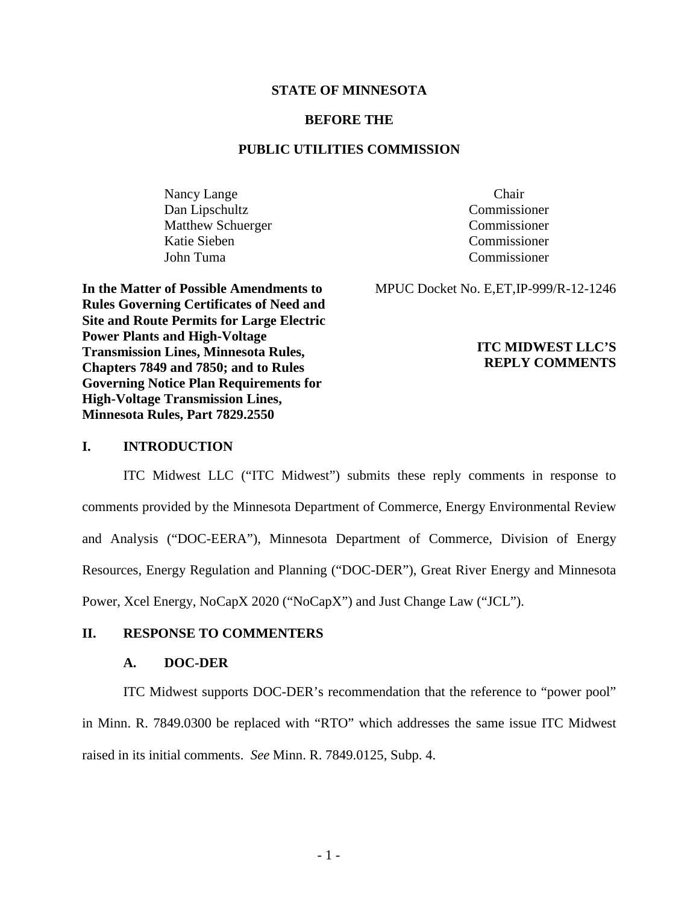### **STATE OF MINNESOTA**

### **BEFORE THE**

### **PUBLIC UTILITIES COMMISSION**

Nancy Lange Chair Dan Lipschultz Commissioner Matthew Schuerger Commissioner Katie Sieben Commissioner John Tuma Commissioner

**In the Matter of Possible Amendments to Rules Governing Certificates of Need and Site and Route Permits for Large Electric** 

**Power Plants and High-Voltage** 

**High-Voltage Transmission Lines, Minnesota Rules, Part 7829.2550**

**Transmission Lines, Minnesota Rules, Chapters 7849 and 7850; and to Rules Governing Notice Plan Requirements for** 

MPUC Docket No. E,ET,IP-999/R-12-1246

## **ITC MIDWEST LLC'S REPLY COMMENTS**

### **I. INTRODUCTION**

ITC Midwest LLC ("ITC Midwest") submits these reply comments in response to comments provided by the Minnesota Department of Commerce, Energy Environmental Review and Analysis ("DOC-EERA"), Minnesota Department of Commerce, Division of Energy Resources, Energy Regulation and Planning ("DOC-DER"), Great River Energy and Minnesota Power, Xcel Energy, NoCapX 2020 ("NoCapX") and Just Change Law ("JCL").

### **II. RESPONSE TO COMMENTERS**

#### **A. DOC-DER**

ITC Midwest supports DOC-DER's recommendation that the reference to "power pool" in Minn. R. 7849.0300 be replaced with "RTO" which addresses the same issue ITC Midwest raised in its initial comments. *See* Minn. R. 7849.0125, Subp. 4.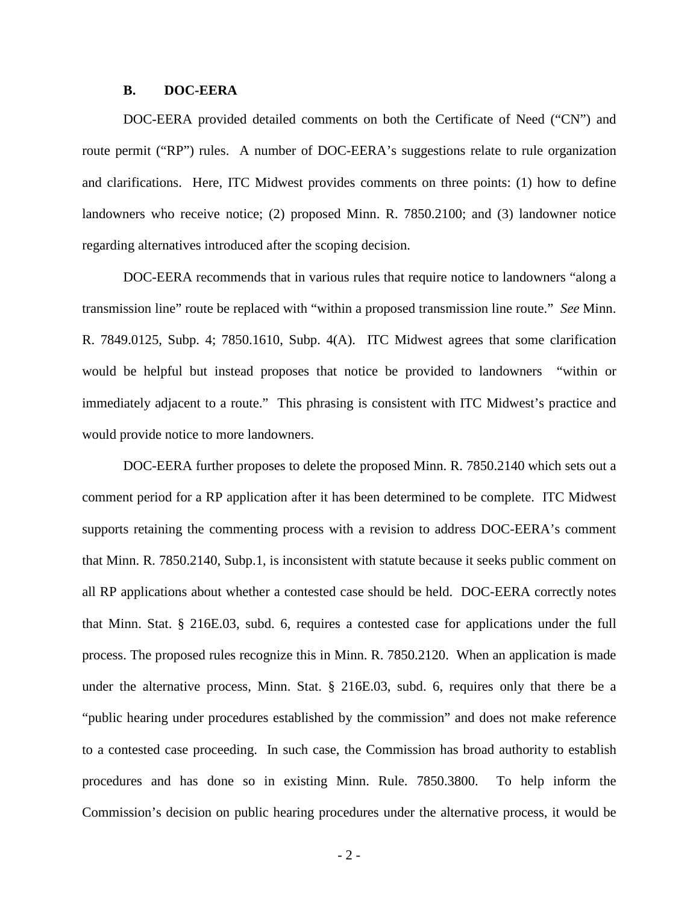### **B. DOC-EERA**

DOC-EERA provided detailed comments on both the Certificate of Need ("CN") and route permit ("RP") rules. A number of DOC-EERA's suggestions relate to rule organization and clarifications. Here, ITC Midwest provides comments on three points: (1) how to define landowners who receive notice; (2) proposed Minn. R. 7850.2100; and (3) landowner notice regarding alternatives introduced after the scoping decision.

DOC-EERA recommends that in various rules that require notice to landowners "along a transmission line" route be replaced with "within a proposed transmission line route." *See* Minn. R. 7849.0125, Subp. 4; 7850.1610, Subp. 4(A). ITC Midwest agrees that some clarification would be helpful but instead proposes that notice be provided to landowners "within or immediately adjacent to a route." This phrasing is consistent with ITC Midwest's practice and would provide notice to more landowners.

DOC-EERA further proposes to delete the proposed Minn. R. 7850.2140 which sets out a comment period for a RP application after it has been determined to be complete. ITC Midwest supports retaining the commenting process with a revision to address DOC-EERA's comment that Minn. R. 7850.2140, Subp.1, is inconsistent with statute because it seeks public comment on all RP applications about whether a contested case should be held. DOC-EERA correctly notes that Minn. Stat. § 216E.03, subd. 6, requires a contested case for applications under the full process. The proposed rules recognize this in Minn. R. 7850.2120. When an application is made under the alternative process, Minn. Stat. § 216E.03, subd. 6, requires only that there be a "public hearing under procedures established by the commission" and does not make reference to a contested case proceeding. In such case, the Commission has broad authority to establish procedures and has done so in existing Minn. Rule. 7850.3800. To help inform the Commission's decision on public hearing procedures under the alternative process, it would be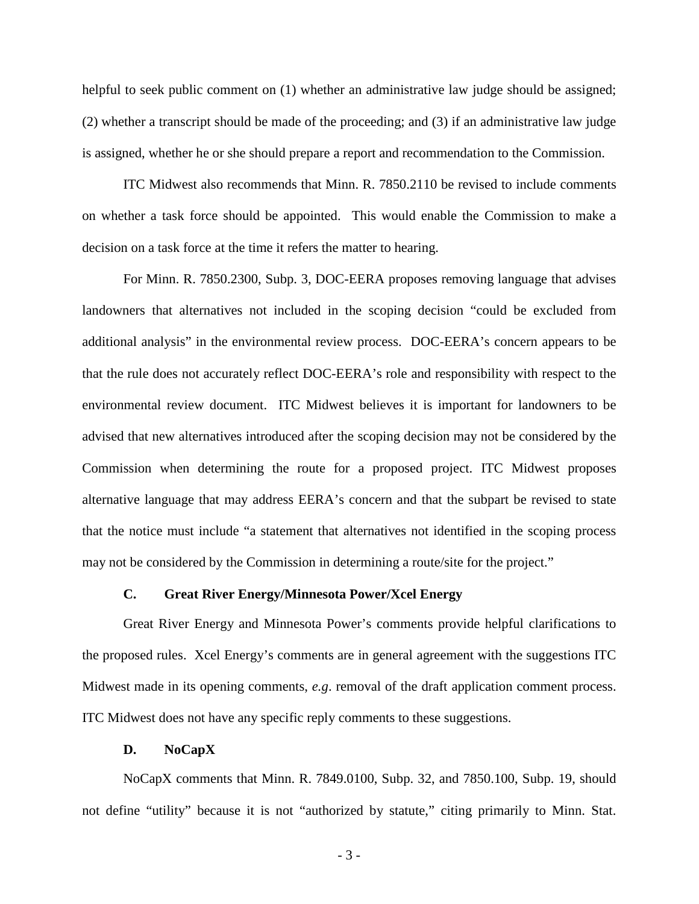helpful to seek public comment on (1) whether an administrative law judge should be assigned; (2) whether a transcript should be made of the proceeding; and (3) if an administrative law judge is assigned, whether he or she should prepare a report and recommendation to the Commission.

ITC Midwest also recommends that Minn. R. 7850.2110 be revised to include comments on whether a task force should be appointed. This would enable the Commission to make a decision on a task force at the time it refers the matter to hearing.

For Minn. R. 7850.2300, Subp. 3, DOC-EERA proposes removing language that advises landowners that alternatives not included in the scoping decision "could be excluded from additional analysis" in the environmental review process. DOC-EERA's concern appears to be that the rule does not accurately reflect DOC-EERA's role and responsibility with respect to the environmental review document. ITC Midwest believes it is important for landowners to be advised that new alternatives introduced after the scoping decision may not be considered by the Commission when determining the route for a proposed project. ITC Midwest proposes alternative language that may address EERA's concern and that the subpart be revised to state that the notice must include "a statement that alternatives not identified in the scoping process may not be considered by the Commission in determining a route/site for the project."

### **C. Great River Energy/Minnesota Power/Xcel Energy**

Great River Energy and Minnesota Power's comments provide helpful clarifications to the proposed rules. Xcel Energy's comments are in general agreement with the suggestions ITC Midwest made in its opening comments, *e.g*. removal of the draft application comment process. ITC Midwest does not have any specific reply comments to these suggestions.

#### **D. NoCapX**

NoCapX comments that Minn. R. 7849.0100, Subp. 32, and 7850.100, Subp. 19, should not define "utility" because it is not "authorized by statute," citing primarily to Minn. Stat.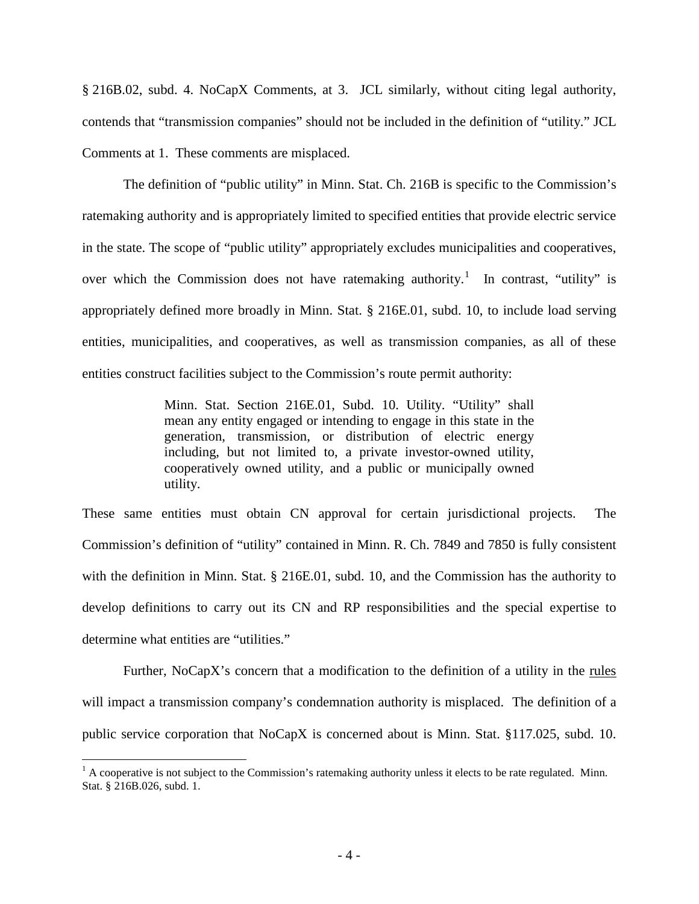§ 216B.02, subd. 4. NoCapX Comments, at 3. JCL similarly, without citing legal authority, contends that "transmission companies" should not be included in the definition of "utility." JCL Comments at 1. These comments are misplaced.

The definition of "public utility" in Minn. Stat. Ch. 216B is specific to the Commission's ratemaking authority and is appropriately limited to specified entities that provide electric service in the state. The scope of "public utility" appropriately excludes municipalities and cooperatives, over which the Commission does not have ratemaking authority.<sup>[1](#page-3-0)</sup> In contrast, "utility" is appropriately defined more broadly in Minn. Stat. § 216E.01, subd. 10, to include load serving entities, municipalities, and cooperatives, as well as transmission companies, as all of these entities construct facilities subject to the Commission's route permit authority:

> Minn. Stat. Section 216E.01, Subd. 10. Utility. "Utility" shall mean any entity engaged or intending to engage in this state in the generation, transmission, or distribution of electric energy including, but not limited to, a private investor-owned utility, cooperatively owned utility, and a public or municipally owned utility.

These same entities must obtain CN approval for certain jurisdictional projects. The Commission's definition of "utility" contained in Minn. R. Ch. 7849 and 7850 is fully consistent with the definition in Minn. Stat. § 216E.01, subd. 10, and the Commission has the authority to develop definitions to carry out its CN and RP responsibilities and the special expertise to determine what entities are "utilities."

Further, NoCapX's concern that a modification to the definition of a utility in the rules will impact a transmission company's condemnation authority is misplaced. The definition of a public service corporation that NoCapX is concerned about is Minn. Stat. §117.025, subd. 10.

<span id="page-3-0"></span> $<sup>1</sup>$  A cooperative is not subject to the Commission's ratemaking authority unless it elects to be rate regulated. Minn.</sup> Stat. § 216B.026, subd. 1.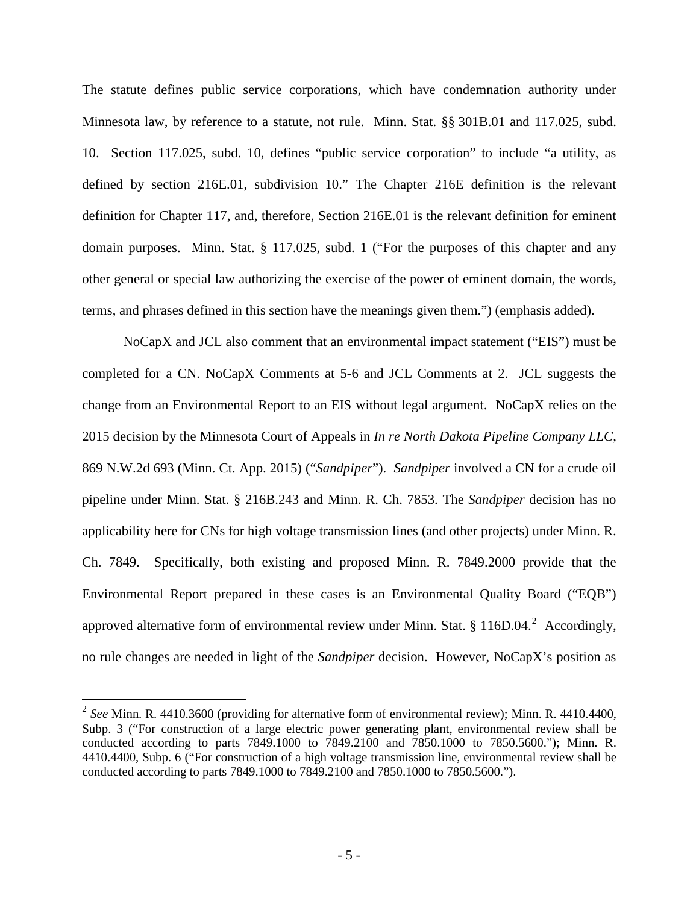The statute defines public service corporations, which have condemnation authority under Minnesota law, by reference to a statute, not rule. Minn. Stat. §§ 301B.01 and 117.025, subd. 10. Section 117.025, subd. 10, defines "public service corporation" to include "a utility, as defined by section 216E.01, subdivision 10." The Chapter 216E definition is the relevant definition for Chapter 117, and, therefore, Section 216E.01 is the relevant definition for eminent domain purposes. Minn. Stat. § 117.025, subd. 1 ("For the purposes of this chapter and any other general or special law authorizing the exercise of the power of eminent domain, the words, terms, and phrases defined in this section have the meanings given them.") (emphasis added).

NoCapX and JCL also comment that an environmental impact statement ("EIS") must be completed for a CN. NoCapX Comments at 5-6 and JCL Comments at 2. JCL suggests the change from an Environmental Report to an EIS without legal argument. NoCapX relies on the 2015 decision by the Minnesota Court of Appeals in *In re North Dakota Pipeline Company LLC*, 869 N.W.2d 693 (Minn. Ct. App. 2015) ("*Sandpiper*"). *Sandpiper* involved a CN for a crude oil pipeline under Minn. Stat. § 216B.243 and Minn. R. Ch. 7853. The *Sandpiper* decision has no applicability here for CNs for high voltage transmission lines (and other projects) under Minn. R. Ch. 7849. Specifically, both existing and proposed Minn. R. 7849.2000 provide that the Environmental Report prepared in these cases is an Environmental Quality Board ("EQB") approved alternative form of environmental review under Minn. Stat. § 116D.04.<sup>[2](#page-4-0)</sup> Accordingly, no rule changes are needed in light of the *Sandpiper* decision. However, NoCapX's position as

<span id="page-4-0"></span> <sup>2</sup> *See* Minn. R. 4410.3600 (providing for alternative form of environmental review); Minn. R. 4410.4400, Subp. 3 ("For construction of a large electric power generating plant, environmental review shall be conducted according to parts 7849.1000 to 7849.2100 and 7850.1000 to 7850.5600."); Minn. R. 4410.4400, Subp. 6 ("For construction of a high voltage transmission line, environmental review shall be conducted according to parts 7849.1000 to 7849.2100 and 7850.1000 to 7850.5600.").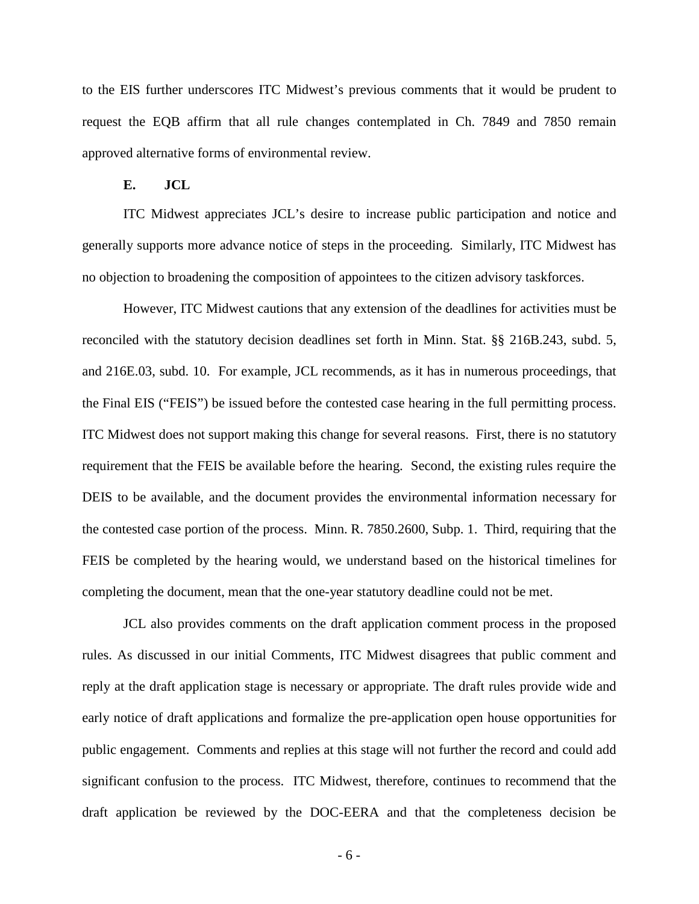to the EIS further underscores ITC Midwest's previous comments that it would be prudent to request the EQB affirm that all rule changes contemplated in Ch. 7849 and 7850 remain approved alternative forms of environmental review.

### **E. JCL**

ITC Midwest appreciates JCL's desire to increase public participation and notice and generally supports more advance notice of steps in the proceeding. Similarly, ITC Midwest has no objection to broadening the composition of appointees to the citizen advisory taskforces.

However, ITC Midwest cautions that any extension of the deadlines for activities must be reconciled with the statutory decision deadlines set forth in Minn. Stat. §§ 216B.243, subd. 5, and 216E.03, subd. 10. For example, JCL recommends, as it has in numerous proceedings, that the Final EIS ("FEIS") be issued before the contested case hearing in the full permitting process. ITC Midwest does not support making this change for several reasons. First, there is no statutory requirement that the FEIS be available before the hearing. Second, the existing rules require the DEIS to be available, and the document provides the environmental information necessary for the contested case portion of the process. Minn. R. 7850.2600, Subp. 1. Third, requiring that the FEIS be completed by the hearing would, we understand based on the historical timelines for completing the document, mean that the one-year statutory deadline could not be met.

JCL also provides comments on the draft application comment process in the proposed rules. As discussed in our initial Comments, ITC Midwest disagrees that public comment and reply at the draft application stage is necessary or appropriate. The draft rules provide wide and early notice of draft applications and formalize the pre-application open house opportunities for public engagement. Comments and replies at this stage will not further the record and could add significant confusion to the process. ITC Midwest, therefore, continues to recommend that the draft application be reviewed by the DOC-EERA and that the completeness decision be